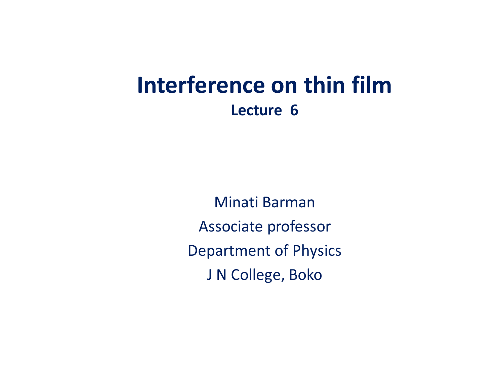## **Interference on thin film Lecture 6**

Minati Barman Associate professor Department of Physics J N College, Boko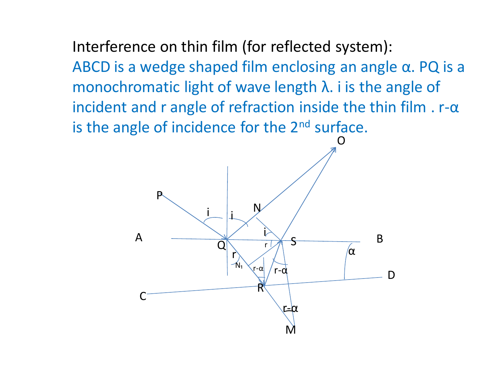Interference on thin film (for reflected system): ABCD is a wedge shaped film enclosing an angle α. PQ is a monochromatic light of wave length λ. i is the angle of incident and r angle of refraction inside the thin film  $r - \alpha$ is the angle of incidence for the 2<sup>nd</sup> surface.

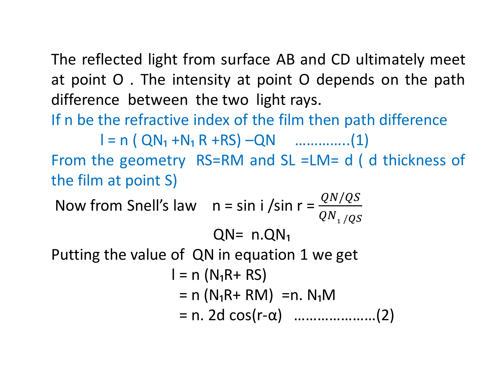The reflected light from surface AB and CD ultimately meet at point O . The intensity at point O depends on the path difference between the two light rays.

If n be the refractive index of the film then path difference

 $l = n (QN_1 + N_1 R + RS) - QN$  …………...(1) From the geometry RS=RM and SL =LM= d ( d thickness of the film at point S)

Now from Snell's law  $n = \sin i / \sin r = \frac{QN/QS}{QN}$  ${QN_1}$  /QS  $QN = n.QN_1$ Putting the value of QN in equation 1 we get  $l = n (N<sub>1</sub>R + RS)$  $=$  n (N<sub>1</sub>R+ RM) = n. N<sub>1</sub>M = n. 2d cos(r-α) …………………(2)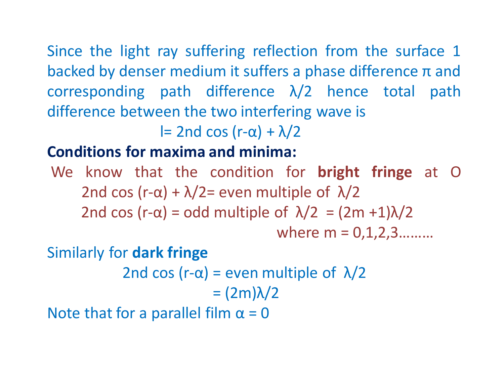Since the light ray suffering reflection from the surface 1 backed by denser medium it suffers a phase difference  $\pi$  and corresponding path difference  $\lambda/2$  hence total path difference between the two interfering wave is

l= 2nd cos (r- $\alpha$ ) +  $\lambda$ /2

## **Conditions for maxima and minima:**

We know that the condition for **bright fringe** at O 2nd cos (r- $\alpha$ ) +  $\lambda$ /2= even multiple of  $\lambda$ /2 2nd cos (r- $\alpha$ ) = odd multiple of  $\lambda/2 = (2m +1)\lambda/2$ where  $m = 0, 1, 2, 3, \ldots$ 

Similarly for **dark fringe** 

2nd cos (r- $\alpha$ ) = even multiple of  $\lambda/2$ = (2m)λ/2

Note that for a parallel film  $\alpha = 0$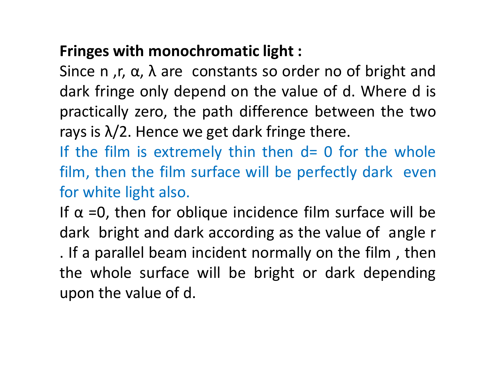## **Fringes with monochromatic light :**

Since n, r,  $\alpha$ ,  $\lambda$  are constants so order no of bright and dark fringe only depend on the value of d. Where d is practically zero, the path difference between the two rays is  $\lambda/2$ . Hence we get dark fringe there.

If the film is extremely thin then  $d=0$  for the whole film, then the film surface will be perfectly dark even for white light also.

If  $\alpha$  =0, then for oblique incidence film surface will be dark bright and dark according as the value of angle r . If a parallel beam incident normally on the film , then the whole surface will be bright or dark depending upon the value of d.